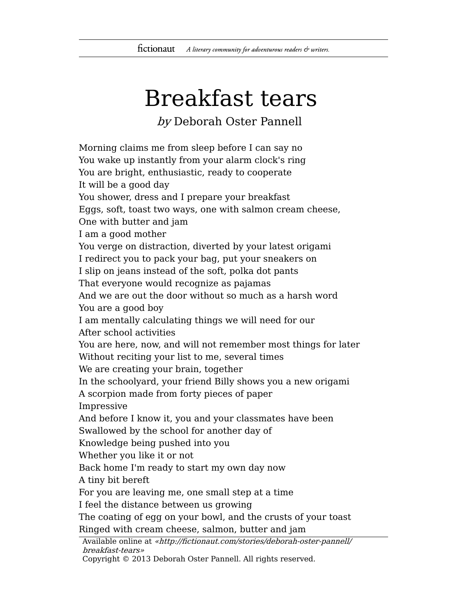## Breakfast tears

by Deborah Oster Pannell

Morning claims me from sleep before I can say no You wake up instantly from your alarm clock's ring You are bright, enthusiastic, ready to cooperate It will be a good day You shower, dress and I prepare your breakfast Eggs, soft, toast two ways, one with salmon cream cheese, One with butter and jam I am a good mother You verge on distraction, diverted by your latest origami I redirect you to pack your bag, put your sneakers on I slip on jeans instead of the soft, polka dot pants That everyone would recognize as pajamas And we are out the door without so much as a harsh word You are a good boy I am mentally calculating things we will need for our After school activities You are here, now, and will not remember most things for later Without reciting your list to me, several times We are creating your brain, together In the schoolyard, your friend Billy shows you a new origami A scorpion made from forty pieces of paper Impressive And before I know it, you and your classmates have been Swallowed by the school for another day of Knowledge being pushed into you Whether you like it or not Back home I'm ready to start my own day now A tiny bit bereft For you are leaving me, one small step at a time I feel the distance between us growing The coating of egg on your bowl, and the crusts of your toast Ringed with cream cheese, salmon, butter and jam Available online at «http://fictionaut.com/stories/deborah-oster-pannell/

breakfast-tears»

Copyright © 2013 Deborah Oster Pannell. All rights reserved.